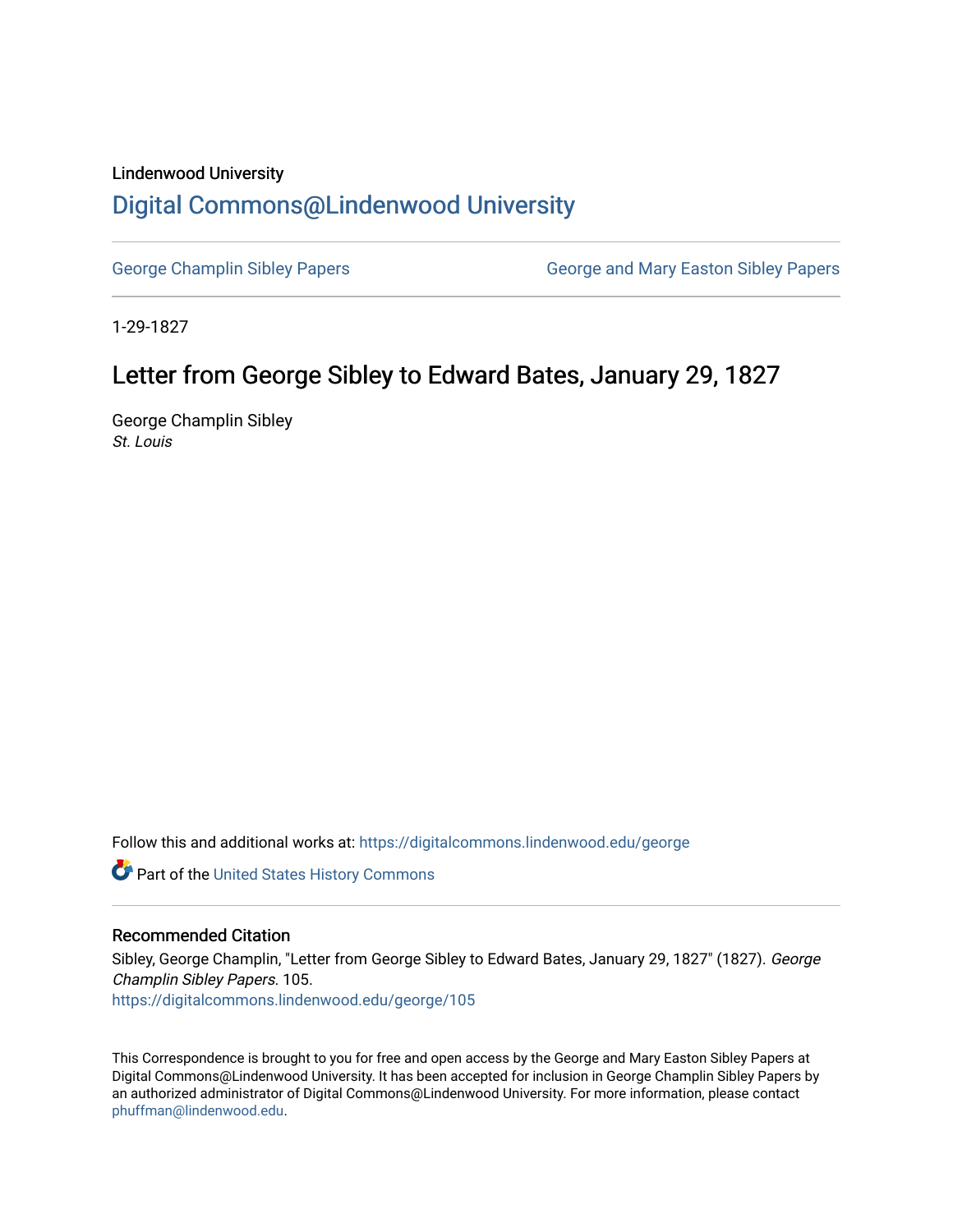#### Lindenwood University

# [Digital Commons@Lindenwood University](https://digitalcommons.lindenwood.edu/)

[George Champlin Sibley Papers](https://digitalcommons.lindenwood.edu/george) George and Mary Easton Sibley Papers

1-29-1827

# Letter from George Sibley to Edward Bates, January 29, 1827

George Champlin Sibley St. Louis

Follow this and additional works at: [https://digitalcommons.lindenwood.edu/george](https://digitalcommons.lindenwood.edu/george?utm_source=digitalcommons.lindenwood.edu%2Fgeorge%2F105&utm_medium=PDF&utm_campaign=PDFCoverPages)

Part of the [United States History Commons](http://network.bepress.com/hgg/discipline/495?utm_source=digitalcommons.lindenwood.edu%2Fgeorge%2F105&utm_medium=PDF&utm_campaign=PDFCoverPages) 

### Recommended Citation

Sibley, George Champlin, "Letter from George Sibley to Edward Bates, January 29, 1827" (1827). George Champlin Sibley Papers. 105. [https://digitalcommons.lindenwood.edu/george/105](https://digitalcommons.lindenwood.edu/george/105?utm_source=digitalcommons.lindenwood.edu%2Fgeorge%2F105&utm_medium=PDF&utm_campaign=PDFCoverPages)

This Correspondence is brought to you for free and open access by the George and Mary Easton Sibley Papers at Digital Commons@Lindenwood University. It has been accepted for inclusion in George Champlin Sibley Papers by an authorized administrator of Digital Commons@Lindenwood University. For more information, please contact [phuffman@lindenwood.edu](mailto:phuffman@lindenwood.edu).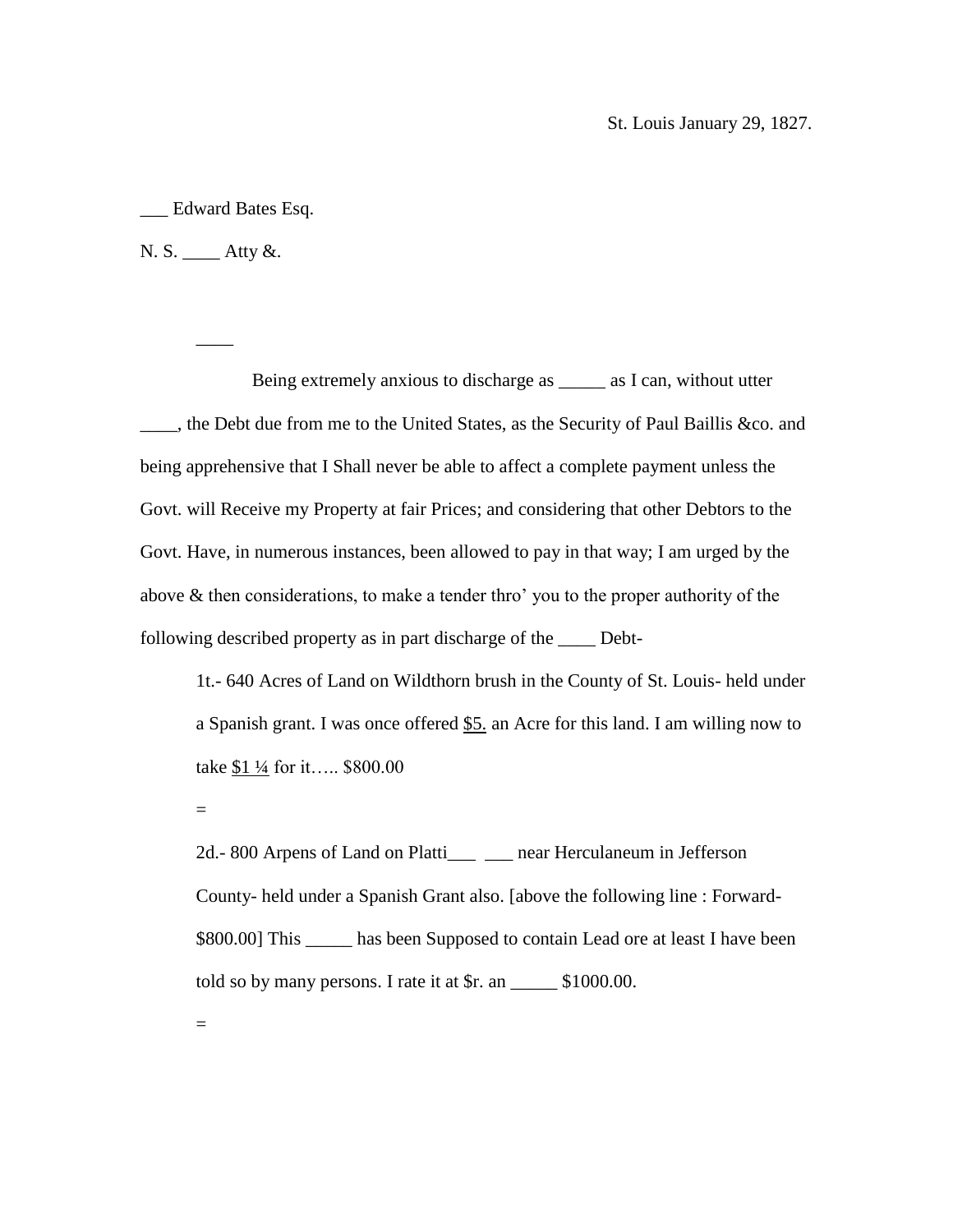\_\_\_ Edward Bates Esq.

N. S. \_\_\_\_ Atty &.

 $\overline{\phantom{a}}$ 

Being extremely anxious to discharge as \_\_\_\_\_ as I can, without utter \_\_\_\_, the Debt due from me to the United States, as the Security of Paul Baillis &co. and being apprehensive that I Shall never be able to affect a complete payment unless the Govt. will Receive my Property at fair Prices; and considering that other Debtors to the Govt. Have, in numerous instances, been allowed to pay in that way; I am urged by the above & then considerations, to make a tender thro' you to the proper authority of the following described property as in part discharge of the \_\_\_\_ Debt-

1t.- 640 Acres of Land on Wildthorn brush in the County of St. Louis- held under a Spanish grant. I was once offered \$5. an Acre for this land. I am willing now to take  $$1\frac{1}{4}$  for it….. \$800.00

=

2d.- 800 Arpens of Land on Platti\_\_\_ \_\_\_ near Herculaneum in Jefferson County- held under a Spanish Grant also. [above the following line : Forward- \$800.00] This \_\_\_\_\_\_ has been Supposed to contain Lead ore at least I have been told so by many persons. I rate it at \$r. an \_\_\_\_\_ \$1000.00.

=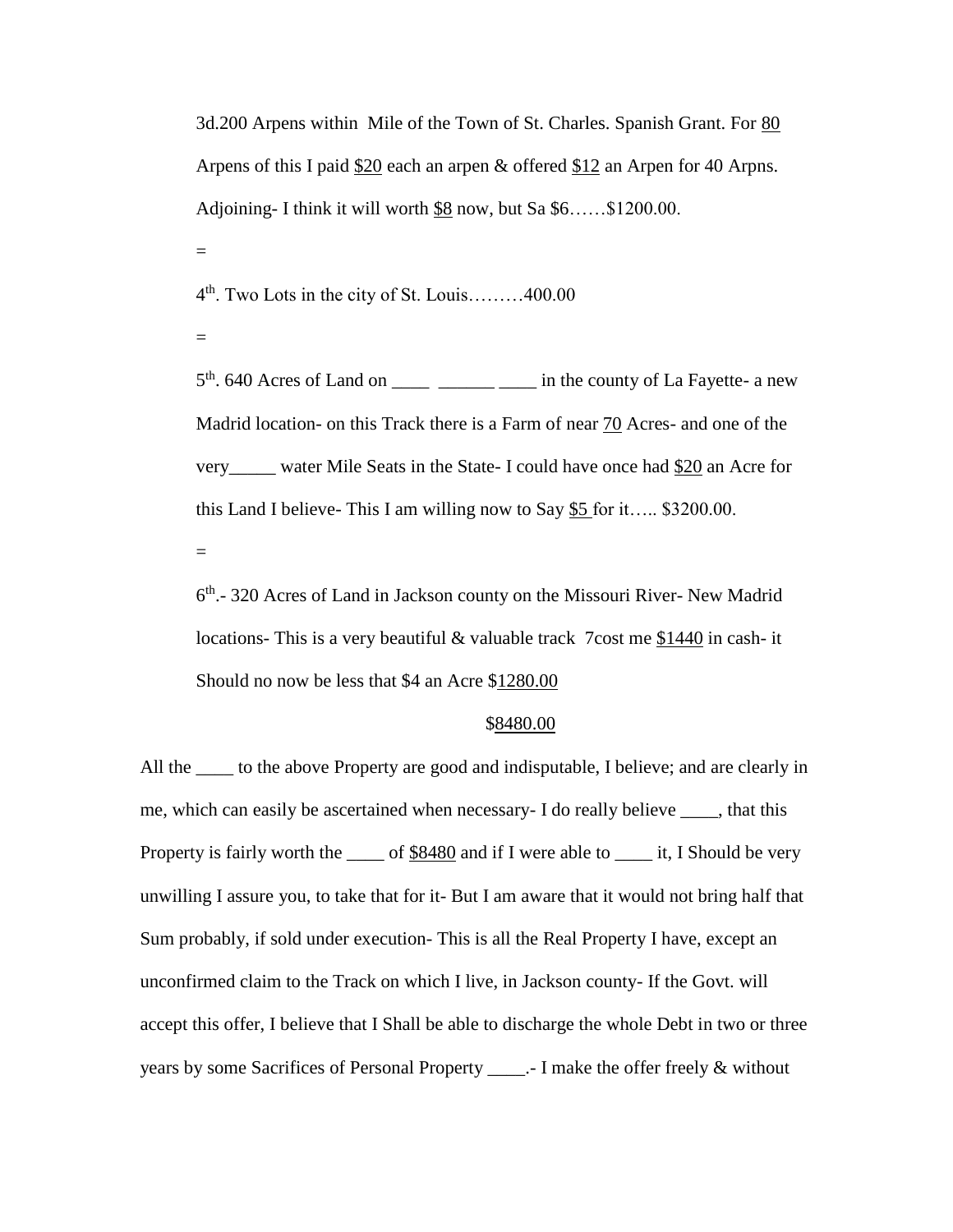3d.200 Arpens within Mile of the Town of St. Charles. Spanish Grant. For 80 Arpens of this I paid \$20 each an arpen & offered \$12 an Arpen for 40 Arpns. Adjoining- I think it will worth \$8 now, but Sa \$6……\$1200.00.

=

4<sup>th</sup>. Two Lots in the city of St. Louis........400.00

=

 $5<sup>th</sup>$ . 640 Acres of Land on \_\_\_\_\_ \_\_\_\_\_\_\_\_\_\_\_\_\_\_\_ in the county of La Fayette- a new Madrid location- on this Track there is a Farm of near 70 Acres- and one of the very water Mile Seats in the State- I could have once had \$20 an Acre for this Land I believe- This I am willing now to Say \$5 for it….. \$3200.00.

 $=$ 

6 th .- 320 Acres of Land in Jackson county on the Missouri River- New Madrid locations- This is a very beautiful & valuable track 7cost me \$1440 in cash- it Should no now be less that \$4 an Acre \$1280.00

#### \$8480.00

All the same to the above Property are good and indisputable, I believe; and are clearly in me, which can easily be ascertained when necessary- I do really believe \_\_\_\_, that this Property is fairly worth the \_\_\_\_\_ of \$8480 and if I were able to \_\_\_\_\_\_\_ it, I Should be very unwilling I assure you, to take that for it- But I am aware that it would not bring half that Sum probably, if sold under execution- This is all the Real Property I have, except an unconfirmed claim to the Track on which I live, in Jackson county- If the Govt. will accept this offer, I believe that I Shall be able to discharge the whole Debt in two or three years by some Sacrifices of Personal Property \_\_\_\_.- I make the offer freely & without